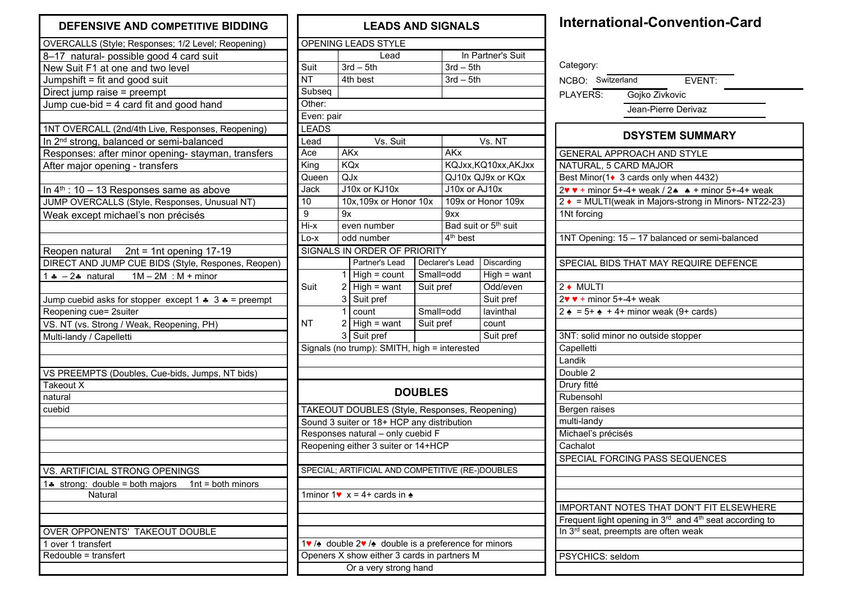## **DEFENSIVE AND COMPETITIVE BIDDING**

| OVERCALLS (Style; Responses; 1/2 Level; Reopening)                        |  |  |  |  |  |  |  |
|---------------------------------------------------------------------------|--|--|--|--|--|--|--|
| 8-17 natural- possible good 4 card suit                                   |  |  |  |  |  |  |  |
| New Suit F1 at one and two level                                          |  |  |  |  |  |  |  |
| Jumpshift = fit and good suit                                             |  |  |  |  |  |  |  |
| Direct jump raise = preempt                                               |  |  |  |  |  |  |  |
| Jump cue-bid $=$ 4 card fit and good hand                                 |  |  |  |  |  |  |  |
|                                                                           |  |  |  |  |  |  |  |
| 1NT OVERCALL (2nd/4th Live, Responses, Reopening)                         |  |  |  |  |  |  |  |
| In 2 <sup>nd</sup> strong, balanced or semi-balanced                      |  |  |  |  |  |  |  |
| Responses: after minor opening- stayman, transfers                        |  |  |  |  |  |  |  |
| After major opening - transfers                                           |  |  |  |  |  |  |  |
|                                                                           |  |  |  |  |  |  |  |
| In $4th$ : 10 – 13 Responses same as above                                |  |  |  |  |  |  |  |
| JUMP OVERCALLS (Style, Responses, Unusual NT)                             |  |  |  |  |  |  |  |
| Weak except michael's non précisés                                        |  |  |  |  |  |  |  |
|                                                                           |  |  |  |  |  |  |  |
|                                                                           |  |  |  |  |  |  |  |
| Reopen natural 2nt = 1nt opening 17-19                                    |  |  |  |  |  |  |  |
| DIRECT AND JUMP CUE BIDS (Style, Respones, Reopen)                        |  |  |  |  |  |  |  |
| 1 $\div$ -2 $\div$ natural 1M - 2M : M + minor                            |  |  |  |  |  |  |  |
|                                                                           |  |  |  |  |  |  |  |
| Jump cuebid asks for stopper_except 1 $\clubsuit$ 3 $\clubsuit$ = preempt |  |  |  |  |  |  |  |
| Reopening cue= 2suiter                                                    |  |  |  |  |  |  |  |
| VS. NT (vs. Strong / Weak, Reopening, PH)                                 |  |  |  |  |  |  |  |
| Multi-landy / Capelletti                                                  |  |  |  |  |  |  |  |
|                                                                           |  |  |  |  |  |  |  |
|                                                                           |  |  |  |  |  |  |  |
| VS PREEMPTS (Doubles, Cue-bids, Jumps, NT bids)                           |  |  |  |  |  |  |  |
| Takeout X                                                                 |  |  |  |  |  |  |  |
| natural                                                                   |  |  |  |  |  |  |  |
| cuebid                                                                    |  |  |  |  |  |  |  |
|                                                                           |  |  |  |  |  |  |  |
|                                                                           |  |  |  |  |  |  |  |
|                                                                           |  |  |  |  |  |  |  |
|                                                                           |  |  |  |  |  |  |  |
| VS. ARTIFICIAL STRONG OPENINGS                                            |  |  |  |  |  |  |  |
| 1. strong: double = both majors<br>$1nt = both minors$                    |  |  |  |  |  |  |  |
| Natural                                                                   |  |  |  |  |  |  |  |
|                                                                           |  |  |  |  |  |  |  |
|                                                                           |  |  |  |  |  |  |  |
| OVER OPPONENTS' TAKEOUT DOUBLE                                            |  |  |  |  |  |  |  |
| 1 over 1 transfert                                                        |  |  |  |  |  |  |  |
| Redouble = transfert                                                      |  |  |  |  |  |  |  |
|                                                                           |  |  |  |  |  |  |  |
|                                                                           |  |  |  |  |  |  |  |

## **LEADS AND SIGNALS** OPENING LEADS STYLE Lead | In Partner's Suit Suit  $3rd - 5th$   $3rd - 5th$ NT 4th best 3rd – 5th **Subseq** Other: Even: pair LEADS Lead | Vs. Suit | Vs. NT Ace AKx AKx King KQx KQJxx,KQ10xx,AKJxx Queen QJx QJ10x QJ9x or KQx Jack J10x or KJ10x J10x or AJ10x 10 10x,109x or Honor 10x 109x or Honor 109x 9 | 9x | 9xx  $Hix$  even number Bad suit or  $5<sup>th</sup>$  suit  $Lo-x$  odd number  $4<sup>th</sup>$  best SIGNALS IN ORDER OF PRIORITY Partner's Lead | Declarer's Lead | Discarding  $1$  High = count Small=odd High = want Suit  $2 \overline{\text{High}} = \text{want}$  Suit pref  $\overline{\text{Odd/even}}$ 3 Suit pref Suit pref 1 count Small=odd I avinthal NT 2 High = want Suit pref count 3 Suit pref Suit pref Signals (no trump): SMITH, high = interested **DOUBLES** TAKEOUT DOUBLES (Style, Responses, Reopening) Sound 3 suiter or 18+ HCP any distribution Responses natural – only cuebid F Reopening either 3 suiter or 14+HCP SPECIAL; ARTIFICIAL AND COMPETITIVE (RE-)DOUBLES 1minor 1 $\bullet x = 4 + \text{ cards in } \bullet$ onor 1♥ /♠ double 2♥ /♠ double is a preference for minors Openers X show either 3 cards in partners M Or a very strong hand

## **International-Convention-Card**

| Category:                                         |                                                                                            |  |  |  |  |  |  |
|---------------------------------------------------|--------------------------------------------------------------------------------------------|--|--|--|--|--|--|
| NCBO: Switzerland                                 | EVENT:                                                                                     |  |  |  |  |  |  |
|                                                   | PLAYERS: Gojko Zivkovic                                                                    |  |  |  |  |  |  |
| Jean-Pierre Derivaz                               |                                                                                            |  |  |  |  |  |  |
|                                                   |                                                                                            |  |  |  |  |  |  |
| <b>DSYSTEM SUMMARY</b>                            |                                                                                            |  |  |  |  |  |  |
| <b>GENERAL APPROACH AND STYLE</b>                 |                                                                                            |  |  |  |  |  |  |
| NATURAL, 5 CARD MAJOR                             |                                                                                            |  |  |  |  |  |  |
|                                                   | Best Minor(1• 3 cards only when 4432)                                                      |  |  |  |  |  |  |
|                                                   | $\overline{2\mathbf{v} \mathbf{v}}$ + minor 5+-4+ weak / 2 $\mathbf{A}$ + minor 5+-4+ weak |  |  |  |  |  |  |
|                                                   | 2 ♦ = MULTI(weak in Majors-strong in Minors-NT22-23)                                       |  |  |  |  |  |  |
| 1Nt forcing                                       |                                                                                            |  |  |  |  |  |  |
|                                                   |                                                                                            |  |  |  |  |  |  |
|                                                   | 1NT Opening: 15 - 17 balanced or semi-balanced                                             |  |  |  |  |  |  |
|                                                   |                                                                                            |  |  |  |  |  |  |
|                                                   | SPECIAL BIDS THAT MAY REQUIRE DEFENCE                                                      |  |  |  |  |  |  |
|                                                   |                                                                                            |  |  |  |  |  |  |
| 2 ♦ MULTI                                         |                                                                                            |  |  |  |  |  |  |
| $2\mathbf{v} \cdot \mathbf{r}$ + minor 5+-4+ weak |                                                                                            |  |  |  |  |  |  |
|                                                   | $2 \div 5 + 4 + \text{minor weak (9+ cards)}$                                              |  |  |  |  |  |  |
|                                                   |                                                                                            |  |  |  |  |  |  |
|                                                   | 3NT: solid minor no outside stopper                                                        |  |  |  |  |  |  |
| Capelletti                                        |                                                                                            |  |  |  |  |  |  |
| Landik                                            |                                                                                            |  |  |  |  |  |  |
| Double <sub>2</sub>                               |                                                                                            |  |  |  |  |  |  |
| Drury fitté                                       |                                                                                            |  |  |  |  |  |  |
| Rubensohl                                         |                                                                                            |  |  |  |  |  |  |
| Bergen raises                                     |                                                                                            |  |  |  |  |  |  |
| multi-landy                                       |                                                                                            |  |  |  |  |  |  |
| Michael's précisés                                |                                                                                            |  |  |  |  |  |  |
| Cachalot                                          |                                                                                            |  |  |  |  |  |  |
|                                                   | SPECIAL FORCING PASS SEQUENCES                                                             |  |  |  |  |  |  |
|                                                   |                                                                                            |  |  |  |  |  |  |
|                                                   |                                                                                            |  |  |  |  |  |  |
|                                                   |                                                                                            |  |  |  |  |  |  |
|                                                   |                                                                                            |  |  |  |  |  |  |
|                                                   | <b>IMPORTANT NOTES THAT DON'T FIT ELSEWHERE</b>                                            |  |  |  |  |  |  |
|                                                   | Frequent light opening in 3 <sup>rd</sup> and 4 <sup>th</sup> seat according to            |  |  |  |  |  |  |
|                                                   | In 3 <sup>rd</sup> seat, preempts are often weak                                           |  |  |  |  |  |  |
|                                                   |                                                                                            |  |  |  |  |  |  |